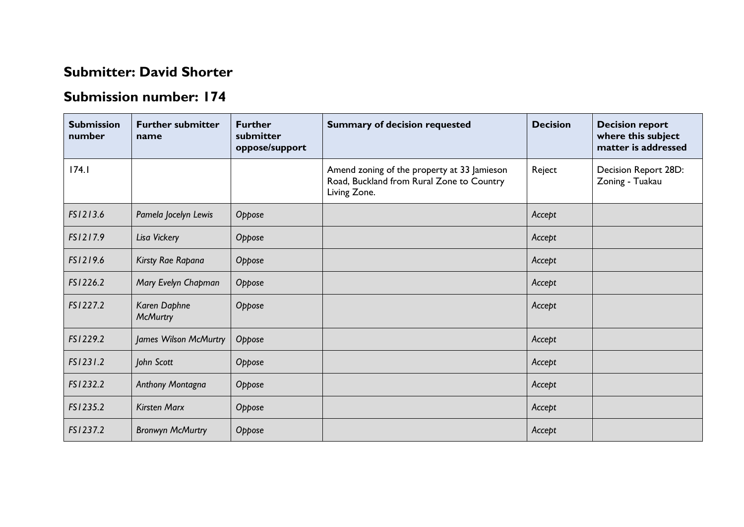## **Submitter: David Shorter**

## **Submission number: 174**

| <b>Submission</b><br>number | <b>Further submitter</b><br>name | <b>Further</b><br>submitter<br>oppose/support | <b>Summary of decision requested</b>                                                                     | <b>Decision</b> | <b>Decision report</b><br>where this subject<br>matter is addressed |
|-----------------------------|----------------------------------|-----------------------------------------------|----------------------------------------------------------------------------------------------------------|-----------------|---------------------------------------------------------------------|
| 174.1                       |                                  |                                               | Amend zoning of the property at 33 Jamieson<br>Road, Buckland from Rural Zone to Country<br>Living Zone. | Reject          | Decision Report 28D:<br>Zoning - Tuakau                             |
| FS1213.6                    | Pamela Jocelyn Lewis             | Oppose                                        |                                                                                                          | Accept          |                                                                     |
| FS1217.9                    | Lisa Vickery                     | Oppose                                        |                                                                                                          | Accept          |                                                                     |
| FS1219.6                    | Kirsty Rae Rapana                | Oppose                                        |                                                                                                          | Accept          |                                                                     |
| FS1226.2                    | Mary Evelyn Chapman              | Oppose                                        |                                                                                                          | Accept          |                                                                     |
| FS1227.2                    | Karen Daphne<br><b>McMurtry</b>  | Oppose                                        |                                                                                                          | Accept          |                                                                     |
| FS1229.2                    | James Wilson McMurtry            | Oppose                                        |                                                                                                          | Accept          |                                                                     |
| FS1231.2                    | John Scott                       | Oppose                                        |                                                                                                          | Accept          |                                                                     |
| FS1232.2                    | Anthony Montagna                 | Oppose                                        |                                                                                                          | Accept          |                                                                     |
| FS1235.2                    | <b>Kirsten Marx</b>              | Oppose                                        |                                                                                                          | Accept          |                                                                     |
| FS1237.2                    | <b>Bronwyn McMurtry</b>          | Oppose                                        |                                                                                                          | Accept          |                                                                     |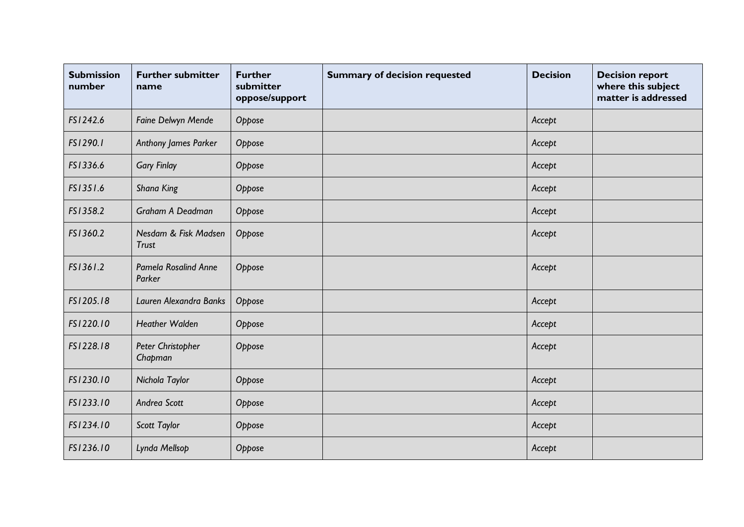| <b>Submission</b><br>number | <b>Further submitter</b><br>name     | <b>Further</b><br>submitter<br>oppose/support | <b>Summary of decision requested</b> | <b>Decision</b> | <b>Decision report</b><br>where this subject<br>matter is addressed |
|-----------------------------|--------------------------------------|-----------------------------------------------|--------------------------------------|-----------------|---------------------------------------------------------------------|
| FS1242.6                    | Faine Delwyn Mende                   | Oppose                                        |                                      | Accept          |                                                                     |
| FS1290.1                    | Anthony James Parker                 | Oppose                                        |                                      | Accept          |                                                                     |
| FS1336.6                    | <b>Gary Finlay</b>                   | Oppose                                        |                                      | Accept          |                                                                     |
| FS1351.6                    | Shana King                           | Oppose                                        |                                      | Accept          |                                                                     |
| FS1358.2                    | Graham A Deadman                     | Oppose                                        |                                      | Accept          |                                                                     |
| FS1360.2                    | Nesdam & Fisk Madsen<br><b>Trust</b> | Oppose                                        |                                      | Accept          |                                                                     |
| FS1361.2                    | Pamela Rosalind Anne<br>Parker       | Oppose                                        |                                      | Accept          |                                                                     |
| FS1205.18                   | Lauren Alexandra Banks               | Oppose                                        |                                      | Accept          |                                                                     |
| FS1220.10                   | <b>Heather Walden</b>                | Oppose                                        |                                      | Accept          |                                                                     |
| FS1228.18                   | Peter Christopher<br>Chapman         | Oppose                                        |                                      | Accept          |                                                                     |
| FS1230.10                   | Nichola Taylor                       | Oppose                                        |                                      | Accept          |                                                                     |
| FS1233.10                   | Andrea Scott                         | Oppose                                        |                                      | Accept          |                                                                     |
| FS1234.10                   | Scott Taylor                         | Oppose                                        |                                      | Accept          |                                                                     |
| FS1236.10                   | Lynda Mellsop                        | Oppose                                        |                                      | Accept          |                                                                     |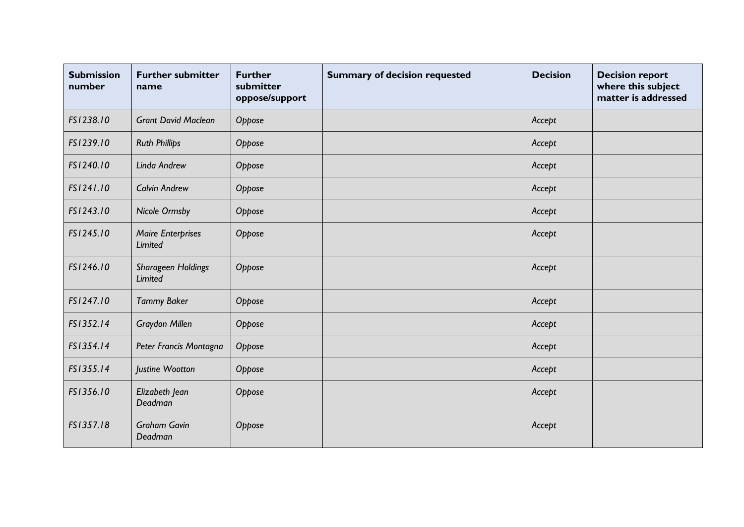| <b>Submission</b><br>number | <b>Further submitter</b><br>name     | <b>Further</b><br>submitter<br>oppose/support | <b>Summary of decision requested</b> | <b>Decision</b> | <b>Decision report</b><br>where this subject<br>matter is addressed |
|-----------------------------|--------------------------------------|-----------------------------------------------|--------------------------------------|-----------------|---------------------------------------------------------------------|
| FS1238.10                   | <b>Grant David Maclean</b>           | Oppose                                        |                                      | Accept          |                                                                     |
| FS1239.10                   | <b>Ruth Phillips</b>                 | Oppose                                        |                                      | Accept          |                                                                     |
| FS1240.10                   | Linda Andrew                         | Oppose                                        |                                      | Accept          |                                                                     |
| FS1241.10                   | <b>Calvin Andrew</b>                 | Oppose                                        |                                      | Accept          |                                                                     |
| FS1243.10                   | <b>Nicole Ormsby</b>                 | Oppose                                        |                                      | Accept          |                                                                     |
| FS1245.10                   | <b>Maire Enterprises</b><br>Limited  | Oppose                                        |                                      | Accept          |                                                                     |
| FS1246.10                   | Sharageen Holdings<br><b>Limited</b> | Oppose                                        |                                      | Accept          |                                                                     |
| FS1247.10                   | <b>Tammy Baker</b>                   | Oppose                                        |                                      | Accept          |                                                                     |
| FS1352.14                   | Graydon Millen                       | Oppose                                        |                                      | Accept          |                                                                     |
| FS1354.14                   | Peter Francis Montagna               | Oppose                                        |                                      | Accept          |                                                                     |
| FS1355.14                   | Justine Wootton                      | Oppose                                        |                                      | Accept          |                                                                     |
| FS1356.10                   | Elizabeth Jean<br>Deadman            | Oppose                                        |                                      | Accept          |                                                                     |
| FS1357.18                   | <b>Graham Gavin</b><br>Deadman       | Oppose                                        |                                      | Accept          |                                                                     |